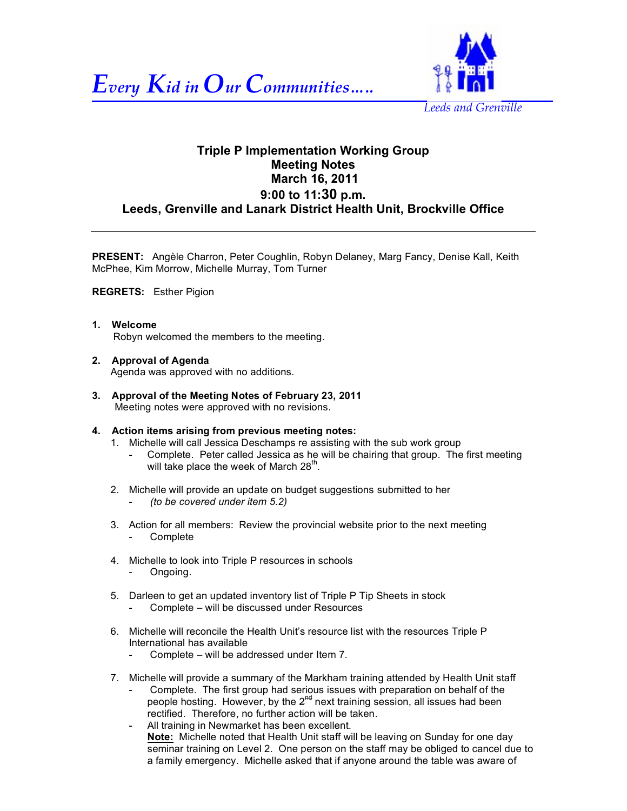



# **Triple P Implementation Working Group Meeting Notes March 16, 2011 9:00 to 11:30 p.m. Leeds, Grenville and Lanark District Health Unit, Brockville Office**

**PRESENT:** Angèle Charron, Peter Coughlin, Robyn Delaney, Marg Fancy, Denise Kall, Keith McPhee, Kim Morrow, Michelle Murray, Tom Turner

# **REGRETS:** Esther Pigion

- **1. Welcome**  Robyn welcomed the members to the meeting.
- **2. Approval of Agenda**  Agenda was approved with no additions.
- **3. Approval of the Meeting Notes of February 23, 2011** Meeting notes were approved with no revisions.

# **4. Action items arising from previous meeting notes:**

- 1. Michelle will call Jessica Deschamps re assisting with the sub work group
	- Complete. Peter called Jessica as he will be chairing that group. The first meeting will take place the week of March  $28<sup>th</sup>$ .
- 2. Michelle will provide an update on budget suggestions submitted to her - *(to be covered under item 5.2)*
- 3. Action for all members: Review the provincial website prior to the next meeting **Complete**
- 4. Michelle to look into Triple P resources in schools - Ongoing.
- 5. Darleen to get an updated inventory list of Triple P Tip Sheets in stock Complete – will be discussed under Resources
- 6. Michelle will reconcile the Health Unit's resource list with the resources Triple P International has available
	- Complete will be addressed under Item 7.
- 7. Michelle will provide a summary of the Markham training attended by Health Unit staff Complete. The first group had serious issues with preparation on behalf of the people hosting. However, by the  $2^{nd}$  next training session, all issues had been rectified. Therefore, no further action will be taken.
	- All training in Newmarket has been excellent. **Note:** Michelle noted that Health Unit staff will be leaving on Sunday for one day seminar training on Level 2. One person on the staff may be obliged to cancel due to a family emergency. Michelle asked that if anyone around the table was aware of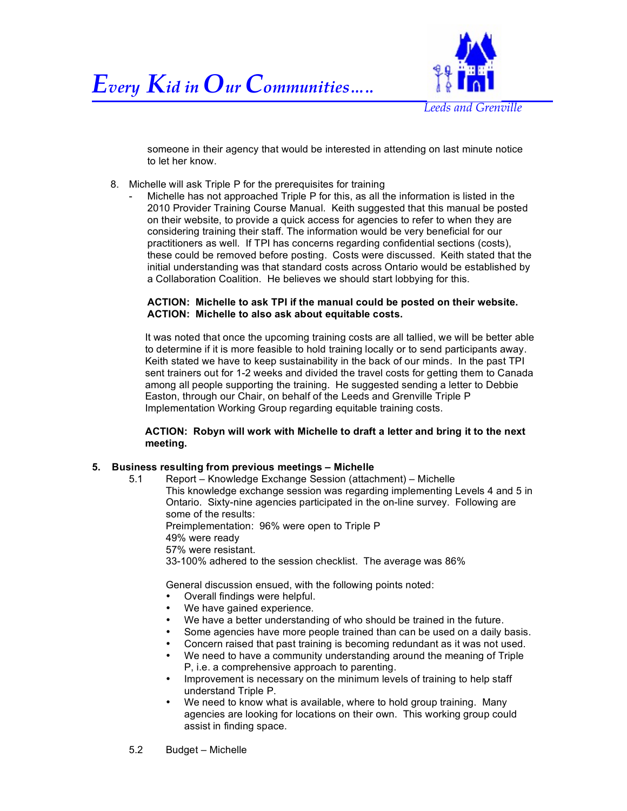



someone in their agency that would be interested in attending on last minute notice to let her know.

- 8. Michelle will ask Triple P for the prerequisites for training
	- Michelle has not approached Triple P for this, as all the information is listed in the 2010 Provider Training Course Manual. Keith suggested that this manual be posted on their website, to provide a quick access for agencies to refer to when they are considering training their staff. The information would be very beneficial for our practitioners as well. If TPI has concerns regarding confidential sections (costs), these could be removed before posting. Costs were discussed. Keith stated that the initial understanding was that standard costs across Ontario would be established by a Collaboration Coalition. He believes we should start lobbying for this.

# **ACTION: Michelle to ask TPI if the manual could be posted on their website. ACTION: Michelle to also ask about equitable costs.**

It was noted that once the upcoming training costs are all tallied, we will be better able to determine if it is more feasible to hold training locally or to send participants away. Keith stated we have to keep sustainability in the back of our minds. In the past TPI sent trainers out for 1-2 weeks and divided the travel costs for getting them to Canada among all people supporting the training. He suggested sending a letter to Debbie Easton, through our Chair, on behalf of the Leeds and Grenville Triple P Implementation Working Group regarding equitable training costs.

**ACTION: Robyn will work with Michelle to draft a letter and bring it to the next meeting.**

# **5. Business resulting from previous meetings – Michelle**

5.1 Report – Knowledge Exchange Session (attachment) – Michelle This knowledge exchange session was regarding implementing Levels 4 and 5 in Ontario. Sixty-nine agencies participated in the on-line survey. Following are some of the results:

Preimplementation: 96% were open to Triple P

- 49% were ready
- 57% were resistant.
- 33-100% adhered to the session checklist. The average was 86%

General discussion ensued, with the following points noted:

- Overall findings were helpful.
- We have gained experience.
- We have a better understanding of who should be trained in the future.
- Some agencies have more people trained than can be used on a daily basis.
- Concern raised that past training is becoming redundant as it was not used.
- We need to have a community understanding around the meaning of Triple P, i.e. a comprehensive approach to parenting.
- Improvement is necessary on the minimum levels of training to help staff understand Triple P.
- We need to know what is available, where to hold group training. Many agencies are looking for locations on their own. This working group could assist in finding space.
- 5.2 Budget Michelle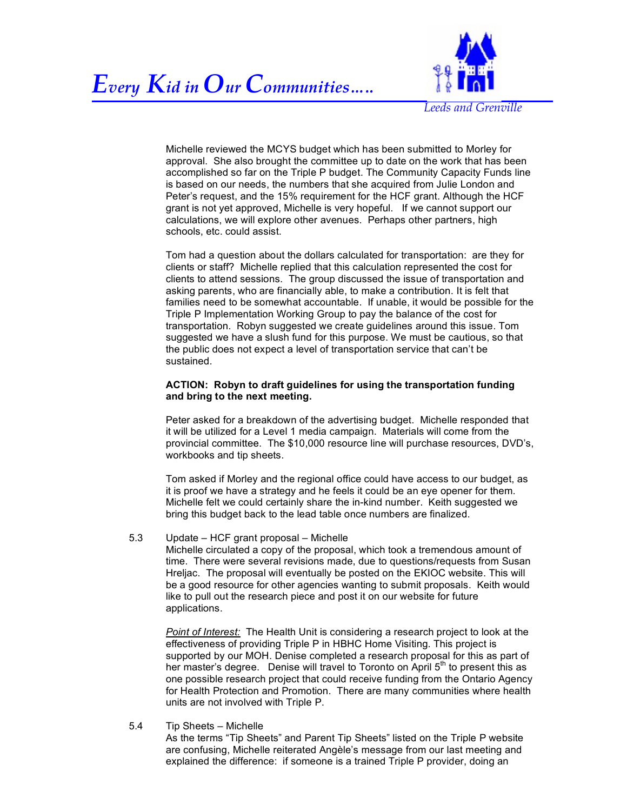



*Leeds and Grenville*

Michelle reviewed the MCYS budget which has been submitted to Morley for approval. She also brought the committee up to date on the work that has been accomplished so far on the Triple P budget. The Community Capacity Funds line is based on our needs, the numbers that she acquired from Julie London and Peter's request, and the 15% requirement for the HCF grant. Although the HCF grant is not yet approved, Michelle is very hopeful. If we cannot support our calculations, we will explore other avenues. Perhaps other partners, high schools, etc. could assist.

Tom had a question about the dollars calculated for transportation: are they for clients or staff? Michelle replied that this calculation represented the cost for clients to attend sessions. The group discussed the issue of transportation and asking parents, who are financially able, to make a contribution. It is felt that families need to be somewhat accountable. If unable, it would be possible for the Triple P Implementation Working Group to pay the balance of the cost for transportation. Robyn suggested we create guidelines around this issue. Tom suggested we have a slush fund for this purpose. We must be cautious, so that the public does not expect a level of transportation service that can't be sustained.

# **ACTION: Robyn to draft guidelines for using the transportation funding and bring to the next meeting.**

Peter asked for a breakdown of the advertising budget. Michelle responded that it will be utilized for a Level 1 media campaign. Materials will come from the provincial committee. The \$10,000 resource line will purchase resources, DVD's, workbooks and tip sheets.

Tom asked if Morley and the regional office could have access to our budget, as it is proof we have a strategy and he feels it could be an eye opener for them. Michelle felt we could certainly share the in-kind number. Keith suggested we bring this budget back to the lead table once numbers are finalized.

# 5.3 Update – HCF grant proposal – Michelle

Michelle circulated a copy of the proposal, which took a tremendous amount of time. There were several revisions made, due to questions/requests from Susan Hreljac. The proposal will eventually be posted on the EKIOC website. This will be a good resource for other agencies wanting to submit proposals. Keith would like to pull out the research piece and post it on our website for future applications.

*Point of Interest:* The Health Unit is considering a research project to look at the effectiveness of providing Triple P in HBHC Home Visiting. This project is supported by our MOH. Denise completed a research proposal for this as part of her master's degree. Denise will travel to Toronto on April 5<sup>th</sup> to present this as one possible research project that could receive funding from the Ontario Agency for Health Protection and Promotion. There are many communities where health units are not involved with Triple P.

5.4 Tip Sheets – Michelle As the terms "Tip Sheets" and Parent Tip Sheets" listed on the Triple P website are confusing, Michelle reiterated Angèle's message from our last meeting and explained the difference: if someone is a trained Triple P provider, doing an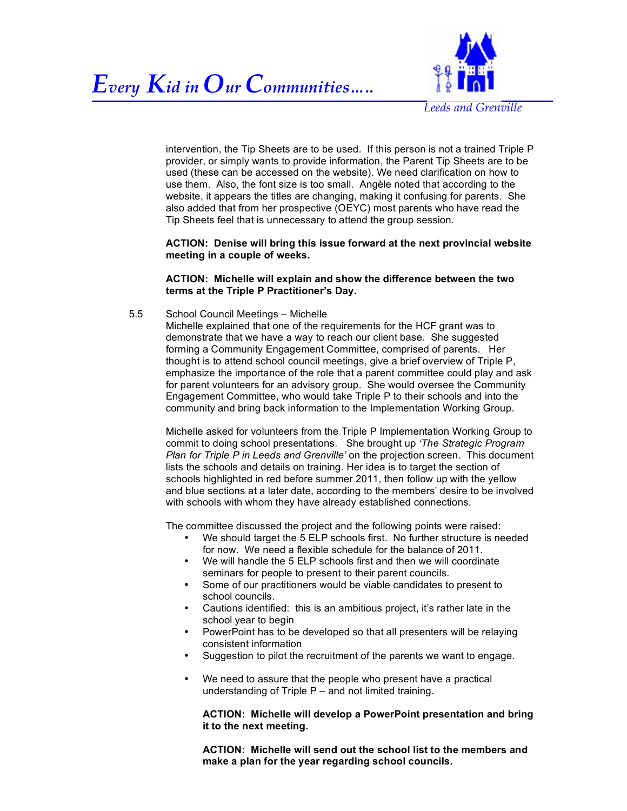

*Leeds and Grenville*

intervention, the Tip Sheets are to be used. If this person is not a trained Triple P provider, or simply wants to provide information, the Parent Tip Sheets are to be used (these can be accessed on the website). We need clarification on how to use them. Also, the font size is too small. Angèle noted that according to the website, it appears the titles are changing, making it confusing for parents. She also added that from her prospective (OEYC) most parents who have read the Tip Sheets feel that is unnecessary to attend the group session.

**ACTION: Denise will bring this issue forward at the next provincial website meeting in a couple of weeks.**

# **ACTION: Michelle will explain and show the difference between the two terms at the Triple P Practitioner's Day.**

5.5 School Council Meetings – Michelle

Michelle explained that one of the requirements for the HCF grant was to demonstrate that we have a way to reach our client base. She suggested forming a Community Engagement Committee, comprised of parents. Her thought is to attend school council meetings, give a brief overview of Triple P, emphasize the importance of the role that a parent committee could play and ask for parent volunteers for an advisory group. She would oversee the Community Engagement Committee, who would take Triple P to their schools and into the community and bring back information to the Implementation Working Group.

Michelle asked for volunteers from the Triple P Implementation Working Group to commit to doing school presentations. She brought up *'The Strategic Program Plan for Triple P in Leeds and Grenville'* on the projection screen. This document lists the schools and details on training. Her idea is to target the section of schools highlighted in red before summer 2011, then follow up with the yellow and blue sections at a later date, according to the members' desire to be involved with schools with whom they have already established connections.

The committee discussed the project and the following points were raised:

- We should target the 5 ELP schools first. No further structure is needed for now. We need a flexible schedule for the balance of 2011.
- We will handle the 5 ELP schools first and then we will coordinate seminars for people to present to their parent councils.
- Some of our practitioners would be viable candidates to present to school councils.
- Cautions identified: this is an ambitious project, it's rather late in the school year to begin
- PowerPoint has to be developed so that all presenters will be relaying consistent information
- Suggestion to pilot the recruitment of the parents we want to engage.
- We need to assure that the people who present have a practical understanding of Triple  $P$  – and not limited training.

# **ACTION: Michelle will develop a PowerPoint presentation and bring it to the next meeting.**

**ACTION: Michelle will send out the school list to the members and make a plan for the year regarding school councils.**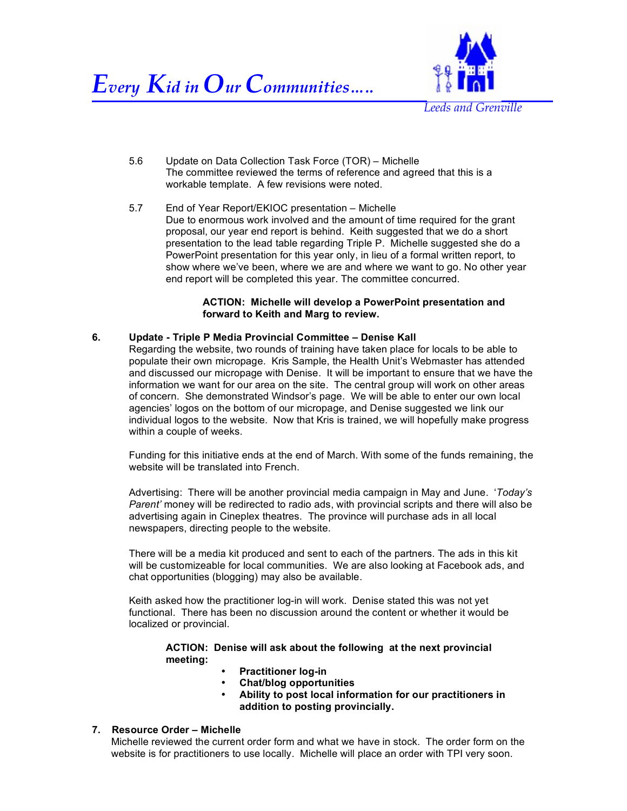

5.6 Update on Data Collection Task Force (TOR) – Michelle The committee reviewed the terms of reference and agreed that this is a workable template. A few revisions were noted.

5.7 End of Year Report/EKIOC presentation – Michelle Due to enormous work involved and the amount of time required for the grant proposal, our year end report is behind. Keith suggested that we do a short presentation to the lead table regarding Triple P. Michelle suggested she do a PowerPoint presentation for this year only, in lieu of a formal written report, to show where we've been, where we are and where we want to go. No other year end report will be completed this year. The committee concurred.

# **ACTION: Michelle will develop a PowerPoint presentation and forward to Keith and Marg to review.**

# **6. Update - Triple P Media Provincial Committee – Denise Kall**

Regarding the website, two rounds of training have taken place for locals to be able to populate their own micropage. Kris Sample, the Health Unit's Webmaster has attended and discussed our micropage with Denise. It will be important to ensure that we have the information we want for our area on the site. The central group will work on other areas of concern. She demonstrated Windsor's page. We will be able to enter our own local agencies' logos on the bottom of our micropage, and Denise suggested we link our individual logos to the website. Now that Kris is trained, we will hopefully make progress within a couple of weeks.

Funding for this initiative ends at the end of March. With some of the funds remaining, the website will be translated into French.

Advertising: There will be another provincial media campaign in May and June. '*Today's Parent'* money will be redirected to radio ads, with provincial scripts and there will also be advertising again in Cineplex theatres. The province will purchase ads in all local newspapers, directing people to the website.

There will be a media kit produced and sent to each of the partners. The ads in this kit will be customizeable for local communities. We are also looking at Facebook ads, and chat opportunities (blogging) may also be available.

Keith asked how the practitioner log-in will work. Denise stated this was not yet functional. There has been no discussion around the content or whether it would be localized or provincial.

**ACTION: Denise will ask about the following at the next provincial meeting:**

- **Practitioner log-in**
- **Chat/blog opportunities**
- **Ability to post local information for our practitioners in addition to posting provincially.**

# **7. Resource Order – Michelle**

Michelle reviewed the current order form and what we have in stock. The order form on the website is for practitioners to use locally. Michelle will place an order with TPI very soon.